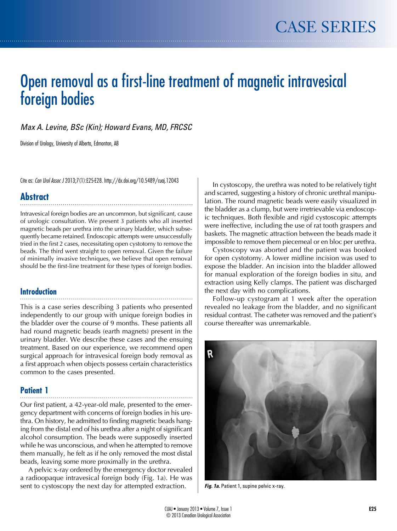# Open removal as a first-line treatment of magnetic intravesical foreign bodies

*Max A. Levine, BSc (Kin); Howard Evans, MD, FRCSC*

Division of Urology, University of Alberta, Edmonton, AB

Cite as: *Can Urol Assoc J* 2013;7(1):E25-E28. http://dx.doi.org/10.5489/cuaj.12043

# **Abstract**

Intravesical foreign bodies are an uncommon, but significant, cause of urologic consultation. We present 3 patients who all inserted magnetic beads per urethra into the urinary bladder, which subsequently became retained. Endoscopic attempts were unsuccessfully tried in the first 2 cases, necessitating open cystotomy to remove the beads. The third went straight to open removal. Given the failure of minimally invasive techniques, we believe that open removal should be the first-line treatment for these types of foreign bodies.

#### **Introduction**

This is a case series describing 3 patients who presented independently to our group with unique foreign bodies in the bladder over the course of 9 months. These patients all had round magnetic beads (earth magnets) present in the urinary bladder. We describe these cases and the ensuing treatment. Based on our experience, we recommend open surgical approach for intravesical foreign body removal as a first approach when objects possess certain characteristics common to the cases presented.

## **Patient 1**

Our first patient, a 42-year-old male, presented to the emergency department with concerns of foreign bodies in his urethra. On history, he admitted to finding magnetic beads hanging from the distal end of his urethra after a night of significant alcohol consumption. The beads were supposedly inserted while he was unconscious, and when he attempted to remove them manually, he felt as if he only removed the most distal beads, leaving some more proximally in the urethra.

A pelvic x-ray ordered by the emergency doctor revealed a radioopaque intravesical foreign body (Fig. 1a). He was sent to cystoscopy the next day for attempted extraction.

In cystoscopy, the urethra was noted to be relatively tight and scarred, suggesting a history of chronic urethral manipulation. The round magnetic beads were easily visualized in the bladder as a clump, but were irretrievable via endoscopic techniques. Both flexible and rigid cystoscopic attempts were ineffective, including the use of rat tooth graspers and baskets. The magnetic attraction between the beads made it impossible to remove them piecemeal or en bloc per urethra.

Cystoscopy was aborted and the patient was booked for open cystotomy. A lower midline incision was used to expose the bladder. An incision into the bladder allowed for manual exploration of the foreign bodies in situ, and extraction using Kelly clamps. The patient was discharged the next day with no complications.

Follow-up cystogram at 1 week after the operation revealed no leakage from the bladder, and no significant residual contrast. The catheter was removed and the patient's course thereafter was unremarkable.



*Fig. 1a.* Patient 1, supine pelvic x-ray.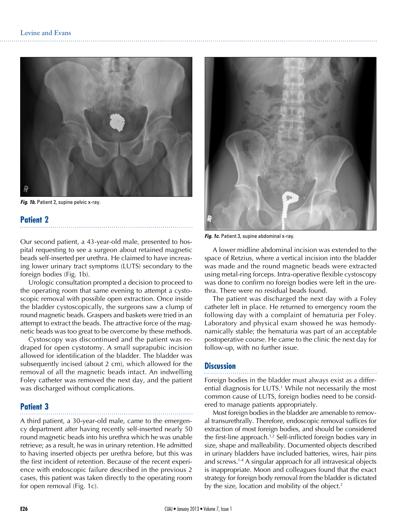

*Fig. 1b.* Patient 2, supine pelvic x-ray.

#### **Patient 2**

Our second patient, a 43-year-old male, presented to hospital requesting to see a surgeon about retained magnetic beads self-inserted per urethra. He claimed to have increasing lower urinary tract symptoms (LUTS) secondary to the foreign bodies (Fig. 1b).

Urologic consultation prompted a decision to proceed to the operating room that same evening to attempt a cystoscopic removal with possible open extraction. Once inside the bladder cystoscopically, the surgeons saw a clump of round magnetic beads. Graspers and baskets were tried in an attempt to extract the beads. The attractive force of the magnetic beads was too great to be overcome by these methods.

Cystoscopy was discontinued and the patient was redraped for open cystotomy. A small suprapubic incision allowed for identification of the bladder. The bladder was subsequently incised (about 2 cm), which allowed for the removal of all the magnetic beads intact. An indwelling Foley catheter was removed the next day, and the patient was discharged without complications.

#### **Patient 3**

A third patient, a 30-year-old male, came to the emergency department after having recently self-inserted nearly 50 round magnetic beads into his urethra which he was unable retrieve; as a result, he was in urinary retention. He admitted to having inserted objects per urethra before, but this was the first incident of retention. Because of the recent experience with endoscopic failure described in the previous 2 cases, this patient was taken directly to the operating room for open removal (Fig. 1c).



*Fig. 1c.* Patient 3, supine abdominal x-ray.

A lower midline abdominal incision was extended to the space of Retzius, where a vertical incision into the bladder was made and the round magnetic beads were extracted using metal-ring forceps. Intra-operative flexible cystoscopy was done to confirm no foreign bodies were left in the urethra. There were no residual beads found.

The patient was discharged the next day with a Foley catheter left in place. He returned to emergency room the following day with a complaint of hematuria per Foley. Laboratory and physical exam showed he was hemodynamically stable; the hematuria was part of an acceptable postoperative course. He came to the clinic the next day for follow-up, with no further issue.

#### **Discussion**

Foreign bodies in the bladder must always exist as a differential diagnosis for LUTS.<sup>1</sup> While not necessarily the most common cause of LUTS, foreign bodies need to be considered to manage patients appropriately.

Most foreign bodies in the bladder are amenable to removal transurethrally. Therefore, endoscopic removal suffices for extraction of most foreign bodies, and should be considered the first-line approach.1,2 Self-inflicted foreign bodies vary in size, shape and malleability. Documented objects described in urinary bladders have included batteries, wires, hair pins and screws.1-4 A singular approach for all intravesical objects is inappropriate. Moon and colleagues found that the exact strategy for foreign body removal from the bladder is dictated by the size, location and mobility of the object.<sup>2</sup>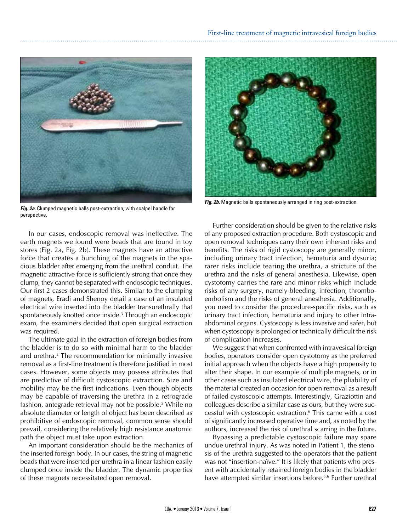

*Fig. 2a.* Clumped magnetic balls post-extraction, with scalpel handle for perspective.

In our cases, endoscopic removal was ineffective. The earth magnets we found were beads that are found in toy stores (Fig. 2a, Fig. 2b). These magnets have an attractive force that creates a bunching of the magnets in the spacious bladder after emerging from the urethral conduit. The magnetic attractive force is sufficiently strong that once they clump, they cannot be separated with endoscopic techniques. Our first 2 cases demonstrated this. Similar to the clumping of magnets, Eradi and Shenoy detail a case of an insulated electrical wire inserted into the bladder transurethrally that spontaneously knotted once inside.3 Through an endoscopic exam, the examiners decided that open surgical extraction was required.

The ultimate goal in the extraction of foreign bodies from the bladder is to do so with minimal harm to the bladder and urethra.2 The recommendation for minimally invasive removal as a first-line treatment is therefore justified in most cases. However, some objects may possess attributes that are predictive of difficult cystoscopic extraction. Size and mobility may be the first indications. Even though objects may be capable of traversing the urethra in a retrograde fashion, antegrade retrieval may not be possible.5 While no absolute diameter or length of object has been described as prohibitive of endoscopic removal, common sense should prevail, considering the relatively high resistance anatomic path the object must take upon extraction.

An important consideration should be the mechanics of the inserted foreign body. In our cases, the string of magnetic beads that were inserted per urethra in a linear fashion easily clumped once inside the bladder. The dynamic properties of these magnets necessitated open removal.



*Fig. 2b.* Magnetic balls spontaneously arranged in ring post-extraction.

Further consideration should be given to the relative risks of any proposed extraction procedure. Both cystoscopic and open removal techniques carry their own inherent risks and benefits. The risks of rigid cystoscopy are generally minor, including urinary tract infection, hematuria and dysuria; rarer risks include tearing the urethra, a stricture of the urethra and the risks of general anesthesia. Likewise, open cystotomy carries the rare and minor risks which include risks of any surgery, namely bleeding, infection, thromboembolism and the risks of general anesthesia. Additionally, you need to consider the procedure-specific risks, such as urinary tract infection, hematuria and injury to other intraabdominal organs. Cystoscopy is less invasive and safer, but when cystoscopy is prolonged or technically difficult the risk of complication increases.

We suggest that when confronted with intravesical foreign bodies, operators consider open cystotomy as the preferred initial approach when the objects have a high propensity to alter their shape. In our example of multiple magnets, or in other cases such as insulated electrical wire, the pliability of the material created an occasion for open removal as a result of failed cystoscopic attempts. Interestingly, Graziottin and colleagues describe a similar case as ours, but they were successful with cystoscopic extraction.6 This came with a cost of significantly increased operative time and, as noted by the authors, increased the risk of urethral scarring in the future.

Bypassing a predictable cystoscopic failure may spare undue urethral injury. As was noted in Patient 1, the stenosis of the urethra suggested to the operators that the patient was not "insertion-naïve." It is likely that patients who present with accidentally retained foreign bodies in the bladder have attempted similar insertions before.<sup>5,6</sup> Further urethral